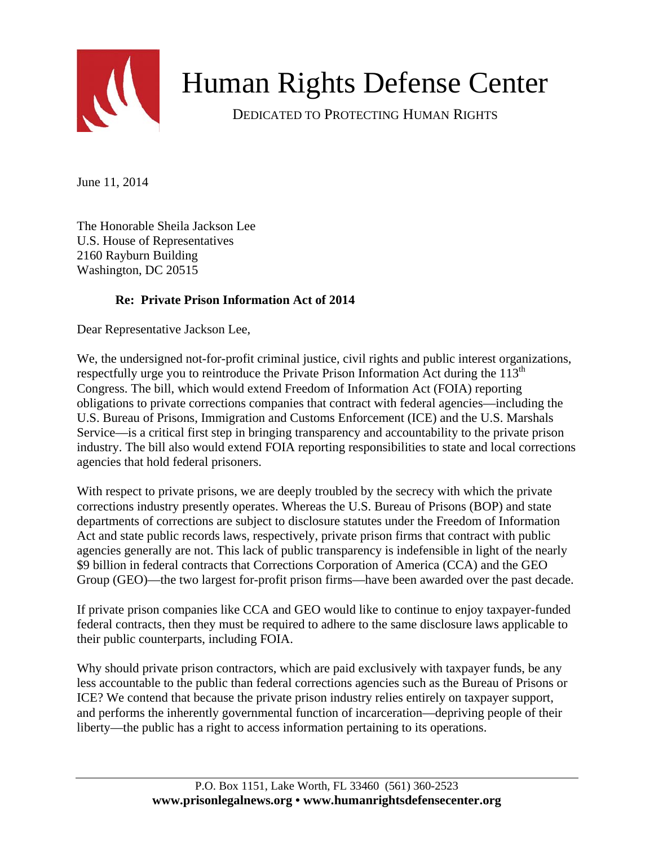

## Human Rights Defense Center

DEDICATED TO PROTECTING HUMAN RIGHTS

June 11, 2014

The Honorable Sheila Jackson Lee U.S. House of Representatives 2160 Rayburn Building Washington, DC 20515

## **Re: Private Prison Information Act of 2014**

Dear Representative Jackson Lee,

We, the undersigned not-for-profit criminal justice, civil rights and public interest organizations, respectfully urge you to reintroduce the Private Prison Information Act during the  $113<sup>th</sup>$ Congress. The bill, which would extend Freedom of Information Act (FOIA) reporting obligations to private corrections companies that contract with federal agencies—including the U.S. Bureau of Prisons, Immigration and Customs Enforcement (ICE) and the U.S. Marshals Service—is a critical first step in bringing transparency and accountability to the private prison industry. The bill also would extend FOIA reporting responsibilities to state and local corrections agencies that hold federal prisoners.

With respect to private prisons, we are deeply troubled by the secrecy with which the private corrections industry presently operates. Whereas the U.S. Bureau of Prisons (BOP) and state departments of corrections are subject to disclosure statutes under the Freedom of Information Act and state public records laws, respectively, private prison firms that contract with public agencies generally are not. This lack of public transparency is indefensible in light of the nearly \$9 billion in federal contracts that Corrections Corporation of America (CCA) and the GEO Group (GEO)—the two largest for-profit prison firms—have been awarded over the past decade.

If private prison companies like CCA and GEO would like to continue to enjoy taxpayer-funded federal contracts, then they must be required to adhere to the same disclosure laws applicable to their public counterparts, including FOIA.

Why should private prison contractors, which are paid exclusively with taxpayer funds, be any less accountable to the public than federal corrections agencies such as the Bureau of Prisons or ICE? We contend that because the private prison industry relies entirely on taxpayer support, and performs the inherently governmental function of incarceration—depriving people of their liberty—the public has a right to access information pertaining to its operations.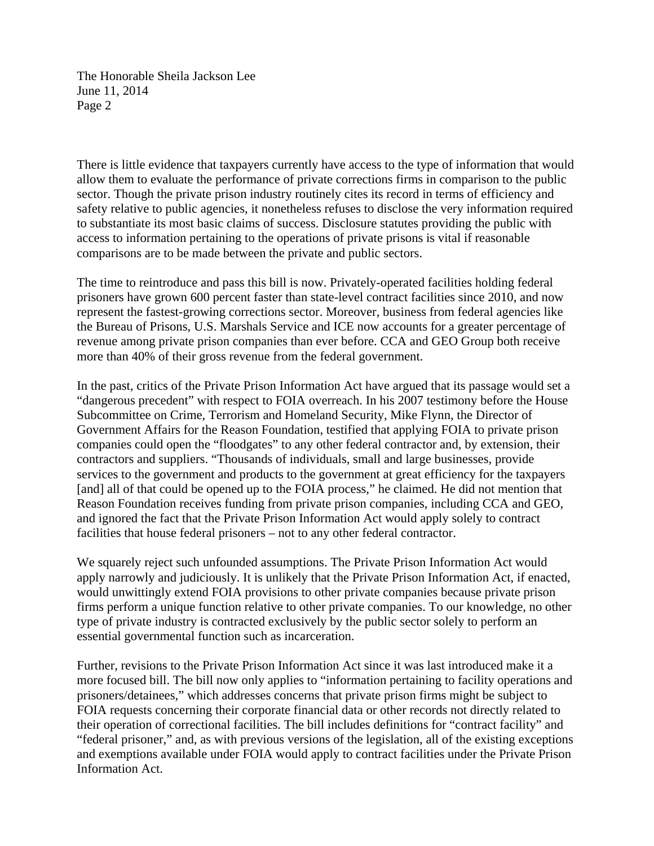The Honorable Sheila Jackson Lee June 11, 2014 Page 2

There is little evidence that taxpayers currently have access to the type of information that would allow them to evaluate the performance of private corrections firms in comparison to the public sector. Though the private prison industry routinely cites its record in terms of efficiency and safety relative to public agencies, it nonetheless refuses to disclose the very information required to substantiate its most basic claims of success. Disclosure statutes providing the public with access to information pertaining to the operations of private prisons is vital if reasonable comparisons are to be made between the private and public sectors.

The time to reintroduce and pass this bill is now. Privately-operated facilities holding federal prisoners have grown 600 percent faster than state-level contract facilities since 2010, and now represent the fastest-growing corrections sector. Moreover, business from federal agencies like the Bureau of Prisons, U.S. Marshals Service and ICE now accounts for a greater percentage of revenue among private prison companies than ever before. CCA and GEO Group both receive more than 40% of their gross revenue from the federal government.

In the past, critics of the Private Prison Information Act have argued that its passage would set a "dangerous precedent" with respect to FOIA overreach. In his 2007 testimony before the House Subcommittee on Crime, Terrorism and Homeland Security, Mike Flynn, the Director of Government Affairs for the Reason Foundation, testified that applying FOIA to private prison companies could open the "floodgates" to any other federal contractor and, by extension, their contractors and suppliers. "Thousands of individuals, small and large businesses, provide services to the government and products to the government at great efficiency for the taxpayers [and] all of that could be opened up to the FOIA process," he claimed. He did not mention that Reason Foundation receives funding from private prison companies, including CCA and GEO, and ignored the fact that the Private Prison Information Act would apply solely to contract facilities that house federal prisoners – not to any other federal contractor.

We squarely reject such unfounded assumptions. The Private Prison Information Act would apply narrowly and judiciously. It is unlikely that the Private Prison Information Act, if enacted, would unwittingly extend FOIA provisions to other private companies because private prison firms perform a unique function relative to other private companies. To our knowledge, no other type of private industry is contracted exclusively by the public sector solely to perform an essential governmental function such as incarceration.

Further, revisions to the Private Prison Information Act since it was last introduced make it a more focused bill. The bill now only applies to "information pertaining to facility operations and prisoners/detainees," which addresses concerns that private prison firms might be subject to FOIA requests concerning their corporate financial data or other records not directly related to their operation of correctional facilities. The bill includes definitions for "contract facility" and "federal prisoner," and, as with previous versions of the legislation, all of the existing exceptions and exemptions available under FOIA would apply to contract facilities under the Private Prison Information Act.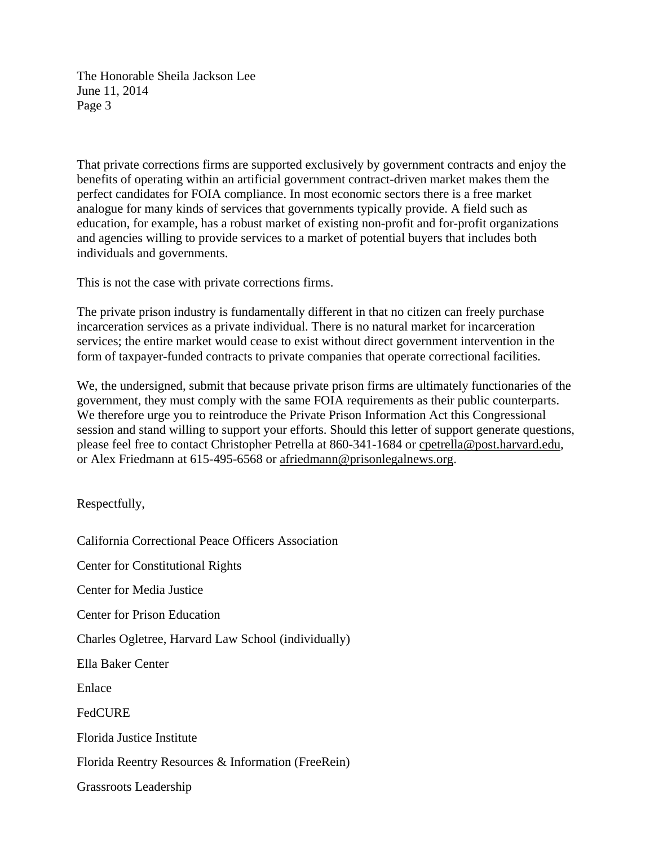The Honorable Sheila Jackson Lee June 11, 2014 Page 3

That private corrections firms are supported exclusively by government contracts and enjoy the benefits of operating within an artificial government contract-driven market makes them the perfect candidates for FOIA compliance. In most economic sectors there is a free market analogue for many kinds of services that governments typically provide. A field such as education, for example, has a robust market of existing non-profit and for-profit organizations and agencies willing to provide services to a market of potential buyers that includes both individuals and governments.

This is not the case with private corrections firms.

The private prison industry is fundamentally different in that no citizen can freely purchase incarceration services as a private individual. There is no natural market for incarceration services; the entire market would cease to exist without direct government intervention in the form of taxpayer-funded contracts to private companies that operate correctional facilities.

We, the undersigned, submit that because private prison firms are ultimately functionaries of the government, they must comply with the same FOIA requirements as their public counterparts. We therefore urge you to reintroduce the Private Prison Information Act this Congressional session and stand willing to support your efforts. Should this letter of support generate questions, please feel free to contact Christopher Petrella at 860-341-1684 or [cpetrella@post.harvard.edu,](mailto:cpetrella@post.harvard.edu) or Alex Friedmann at 615-495-6568 or [afriedmann@prisonlegalnews.org.](mailto:afriedmann@prisonlegalnews.org)

Respectfully,

California Correctional Peace Officers Association Center for Constitutional Rights

Center for Media Justice

Center for Prison Education

Charles Ogletree, Harvard Law School (individually)

Ella Baker Center

Enlace

**FedCURE** 

Florida Justice Institute

Florida Reentry Resources & Information (FreeRein)

Grassroots Leadership